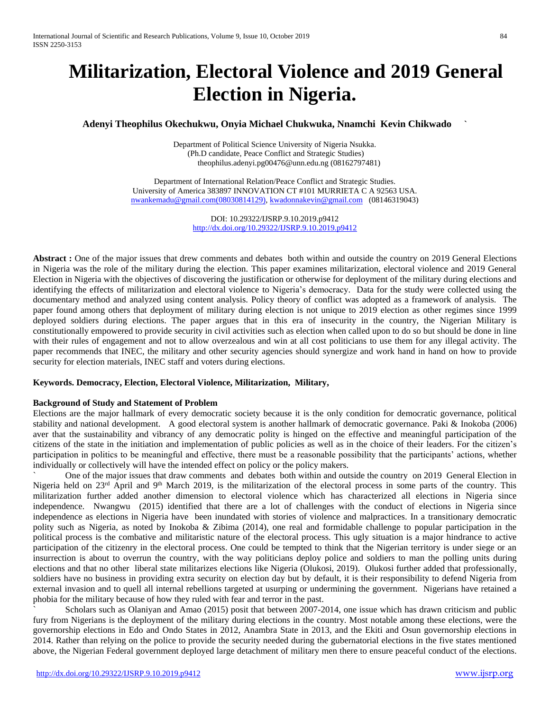# **Militarization, Electoral Violence and 2019 General Election in Nigeria.**

# **Adenyi Theophilus Okechukwu, Onyia Michael Chukwuka, Nnamchi Kevin Chikwado `**

Department of Political Science University of Nigeria Nsukka. (Ph.D candidate, Peace Conflict and Strategic Studies) [theophilus.adenyi.pg00476@unn.edu.ng](mailto:theophilus.adenyi.pg00476@unn.edu.ng) (08162797481)

Department of International Relation/Peace Conflict and Strategic Studies. University of America 383897 INNOVATION CT #101 MURRIETA C A 92563 USA. [nwankemadu@gmail.com\(08030814129\),](mailto:nwankemadu@gmail.com(08030814129)) [kwadonnakevin@gmail.com](mailto:kwadonnakevin@gmail.com) (08146319043)

> DOI: 10.29322/IJSRP.9.10.2019.p9412 <http://dx.doi.org/10.29322/IJSRP.9.10.2019.p9412>

**Abstract :** One of the major issues that drew comments and debates both within and outside the country on 2019 General Elections in Nigeria was the role of the military during the election. This paper examines militarization, electoral violence and 2019 General Election in Nigeria with the objectives of discovering the justification or otherwise for deployment of the military during elections and identifying the effects of militarization and electoral violence to Nigeria's democracy. Data for the study were collected using the documentary method and analyzed using content analysis. Policy theory of conflict was adopted as a framework of analysis. The paper found among others that deployment of military during election is not unique to 2019 election as other regimes since 1999 deployed soldiers during elections. The paper argues that in this era of insecurity in the country, the Nigerian Military is constitutionally empowered to provide security in civil activities such as election when called upon to do so but should be done in line with their rules of engagement and not to allow overzealous and win at all cost politicians to use them for any illegal activity. The paper recommends that INEC, the military and other security agencies should synergize and work hand in hand on how to provide security for election materials, INEC staff and voters during elections.

#### **Keywords. Democracy, Election, Electoral Violence, Militarization, Military,**

#### **Background of Study and Statement of Problem**

Elections are the major hallmark of every democratic society because it is the only condition for democratic governance, political stability and national development. A good electoral system is another hallmark of democratic governance. Paki & Inokoba (2006) aver that the sustainability and vibrancy of any democratic polity is hinged on the effective and meaningful participation of the citizens of the state in the initiation and implementation of public policies as well as in the choice of their leaders. For the citizen's participation in politics to be meaningful and effective, there must be a reasonable possibility that the participants' actions, whether individually or collectively will have the intended effect on policy or the policy makers.

` One of the major issues that draw comments and debates both within and outside the country on 2019 General Election in Nigeria held on 23<sup>rd</sup> April and 9<sup>th</sup> March 2019, is the militarization of the electoral process in some parts of the country. This militarization further added another dimension to electoral violence which has characterized all elections in Nigeria since independence. Nwangwu (2015) identified that there are a lot of challenges with the conduct of elections in Nigeria since independence as elections in Nigeria have been inundated with stories of violence and malpractices. In a transitionary democratic polity such as Nigeria, as noted by Inokoba & Zibima (2014), one real and formidable challenge to popular participation in the political process is the combative and militaristic nature of the electoral process. This ugly situation is a major hindrance to active participation of the citizenry in the electoral process. One could be tempted to think that the Nigerian territory is under siege or an insurrection is about to overrun the country, with the way politicians deploy police and soldiers to man the polling units during elections and that no other liberal state militarizes elections like Nigeria (Olukosi, 2019). Olukosi further added that professionally, soldiers have no business in providing extra security on election day but by default, it is their responsibility to defend Nigeria from external invasion and to quell all internal rebellions targeted at usurping or undermining the government. Nigerians have retained a phobia for the military because of how they ruled with fear and terror in the past.

Scholars such as Olaniyan and Amao (2015) posit that between 2007-2014, one issue which has drawn criticism and public fury from Nigerians is the deployment of the military during elections in the country. Most notable among these elections, were the governorship elections in Edo and Ondo States in 2012, Anambra State in 2013, and the Ekiti and Osun governorship elections in 2014. Rather than relying on the police to provide the security needed during the gubernatorial elections in the five states mentioned above, the Nigerian Federal government deployed large detachment of military men there to ensure peaceful conduct of the elections.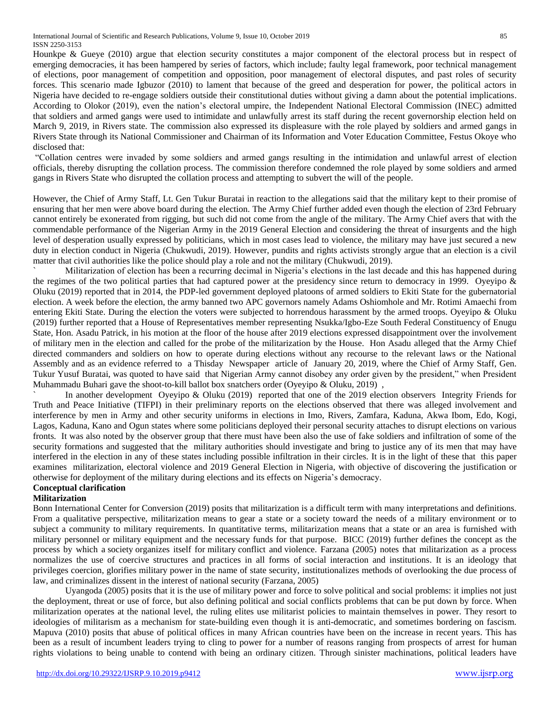Hounkpe & Gueye (2010) argue that election security constitutes a major component of the electoral process but in respect of emerging democracies, it has been hampered by series of factors, which include; faulty legal framework, poor technical management of elections, poor management of competition and opposition, poor management of electoral disputes, and past roles of security forces. This scenario made Igbuzor (2010) to lament that because of the greed and desperation for power, the political actors in Nigeria have decided to re-engage soldiers outside their constitutional duties without giving a damn about the potential implications. According to Olokor (2019), even the nation's electoral umpire, the Independent National Electoral Commission (INEC) admitted that soldiers and armed gangs were used to intimidate and unlawfully arrest its staff during the recent governorship election held on March 9, 2019, in Rivers state. The commission also expressed its displeasure with the role played by soldiers and armed gangs in Rivers State through its National Commissioner and Chairman of its Information and Voter Education Committee, Festus Okoye who disclosed that:

"Collation centres were invaded by some soldiers and armed gangs resulting in the intimidation and unlawful arrest of election officials, thereby disrupting the collation process. The commission therefore condemned the role played by some soldiers and armed gangs in Rivers State who disrupted the collation process and attempting to subvert the will of the people.

However, the Chief of Army Staff, Lt. Gen Tukur Buratai in reaction to the allegations said that the military kept to their promise of ensuring that her men were above board during the election. The Army Chief further added even though the election of 23rd February cannot entirely be exonerated from rigging, but such did not come from the angle of the military. The Army Chief avers that with the commendable performance of the Nigerian Army in the 2019 General Election and considering the threat of insurgents and the high level of desperation usually expressed by politicians, which in most cases lead to violence, the military may have just secured a new duty in election conduct in Nigeria (Chukwudi, 2019). However, pundits and rights activists strongly argue that an election is a civil matter that civil authorities like the police should play a role and not the military (Chukwudi, 2019).

` Militarization of election has been a recurring decimal in Nigeria's elections in the last decade and this has happened during the regimes of the two political parties that had captured power at the presidency since return to democracy in 1999. Oyeyipo & Oluku (2019) reported that in 2014, the PDP-led government deployed platoons of armed soldiers to Ekiti State for the gubernatorial election. A week before the election, the army banned two APC governors namely Adams Oshiomhole and Mr. Rotimi Amaechi from entering Ekiti State. During the election the voters were subjected to horrendous harassment by the armed troops. Oyeyipo & Oluku (2019) further reported that a House of Representatives member representing Nsukka/Igbo-Eze South Federal Constituency of Enugu State, Hon. Asadu Patrick, in his motion at the floor of the house after 2019 elections expressed disappointment over the involvement of military men in the election and called for the probe of the militarization by the House. Hon Asadu alleged that the Army Chief directed commanders and soldiers on how to operate during elections without any recourse to the relevant laws or the National Assembly and as an evidence referred to a Thisday Newspaper article of January 20, 2019, where the Chief of Army Staff, Gen. Tukur Yusuf Buratai, was quoted to have said that Nigerian Army cannot disobey any order given by the president," when President Muhammadu Buhari gave the shoot-to-kill ballot box snatchers order (Oyeyipo & Oluku, 2019) ,

In another development Oyeyipo & Oluku (2019) reported that one of the 2019 election observers Integrity Friends for Truth and Peace Initiative (TIFPI) in their preliminary reports on the elections observed that there was alleged involvement and interference by men in Army and other security uniforms in elections in Imo, Rivers, Zamfara, Kaduna, Akwa Ibom, Edo, Kogi, Lagos, Kaduna, Kano and Ogun states where some politicians deployed their personal security attaches to disrupt elections on various fronts. It was also noted by the observer group that there must have been also the use of fake soldiers and infiltration of some of the security formations and suggested that the military authorities should investigate and bring to justice any of its men that may have interfered in the election in any of these states including possible infiltration in their circles. It is in the light of these that this paper examines militarization, electoral violence and 2019 General Election in Nigeria, with objective of discovering the justification or otherwise for deployment of the military during elections and its effects on Nigeria's democracy.

# **Conceptual clarification**

# **Militarization**

Bonn International Center for Conversion (2019) posits that militarization is a difficult term with many interpretations and definitions. From a qualitative perspective, militarization means to gear a state or a society toward the needs of a military environment or to subject a community to military requirements. In quantitative terms, militarization means that a state or an area is furnished with military personnel or military equipment and the necessary funds for that purpose. BICC (2019) further defines the concept as the process by which a [society](https://en.wikipedia.org/wiki/Society) organizes itself for [military](https://en.wikipedia.org/wiki/Military) conflict and [violence.](https://en.wikipedia.org/wiki/Violence) Farzana (2005) notes that militarization as a process normalizes the use of coercive structures and practices in all forms of social interaction and institutions. It is an ideology that privileges coercion, glorifies military power in the name of state security, institutionalizes methods of overlooking the due process of law, and criminalizes dissent in the interest of national security (Farzana, 2005)

Uyangoda (2005) posits that it is the use of military power and force to solve political and social problems: it implies not just the deployment, threat or use of force, but also defining political and social conflicts problems that can be put down by force. When militarization operates at the national level, the ruling elites use militarist policies to maintain themselves in power. They resort to ideologies of militarism as a mechanism for state-building even though it is anti-democratic, and sometimes bordering on fascism. Mapuva (2010) posits that abuse of political offices in many African countries have been on the increase in recent years. This has been as a result of incumbent leaders trying to cling to power for a number of reasons ranging from prospects of arrest for human rights violations to being unable to contend with being an ordinary citizen. Through sinister machinations, political leaders have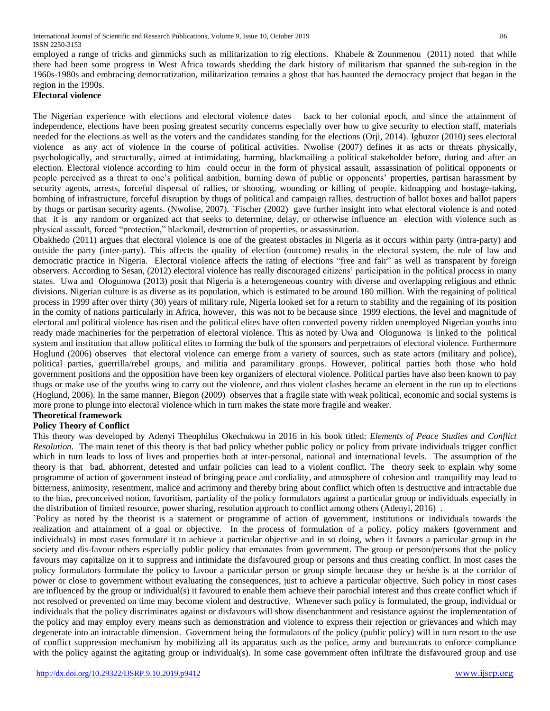employed a range of tricks and gimmicks such as militarization to rig elections. Khabele & Zounmenou (2011) noted that while there had been some progress in West Africa towards shedding the dark history of militarism that spanned the sub-region in the 1960s-1980s and embracing democratization, militarization remains a ghost that has haunted the democracy project that began in the region in the 1990s.

#### **Electoral violence**

The Nigerian experience with elections and electoral violence dates back to her colonial epoch, and since the attainment of independence, elections have been posing greatest security concerns especially over how to give security to election staff, materials needed for the elections as well as the voters and the candidates standing for the elections (Orji, 2014). Igbuzor (2010) sees electoral violence as any act of violence in the course of political activities. Nwolise (2007) defines it as acts or threats physically, psychologically, and structurally, aimed at intimidating, harming, blackmailing a political stakeholder before, during and after an election. Electoral violence according to him could occur in the form of physical assault, assassination of political opponents or people perceived as a threat to one's political ambition, burning down of public or opponents' properties, partisan harassment by security agents, arrests, forceful dispersal of rallies, or shooting, wounding or killing of people. kidnapping and hostage-taking, bombing of infrastructure, forceful disruption by thugs of political and campaign rallies, destruction of ballot boxes and ballot papers by thugs or partisan security agents. (Nwolise, 2007). `Fischer (2002) gave further insight into what electoral violence is and noted that it is any random or organized act that seeks to determine, delay, or otherwise influence an election with violence such as physical assault, forced "protection," blackmail, destruction of properties, or assassination.

Obakhedo (2011) argues that electoral violence is one of the greatest obstacles in Nigeria as it occurs within party (intra-party) and outside the party (inter-party). This affects the quality of election (outcome) results in the electoral system, the rule of law and democratic practice in Nigeria. Electoral violence affects the rating of elections "free and fair" as well as transparent by foreign observers. According to Sesan, (2012) electoral violence has really discouraged citizens' participation in the political process in many states. Uwa and Ologunowa (2013) posit that Nigeria is a heterogeneous country with diverse and overlapping religious and ethnic divisions. Nigerian culture is as diverse as its population, which is estimated to be around 180 million. With the regaining of political process in 1999 after over thirty (30) years of military rule, Nigeria looked set for a return to stability and the regaining of its position in the comity of nations particularly in Africa, however, this was not to be because since 1999 elections, the level and magnitude of electoral and political violence has risen and the political elites have often converted poverty ridden unemployed Nigerian youths into ready made machineries for the perpetration of electoral violence. This as noted by Uwa and Ologunowa is linked to the political system and institution that allow political elites to forming the bulk of the sponsors and perpetrators of electoral violence. Furthermore Hoglund (2006) observes that electoral violence can emerge from a variety of sources, such as state actors (military and police), political parties, guerrilla/rebel groups, and militia and paramilitary groups. However, political parties both those who hold government positions and the opposition have been key organizers of electoral violence. Political parties have also been known to pay thugs or make use of the youths wing to carry out the violence, and thus violent clashes became an element in the run up to elections (Hoglund, 2006). In the same manner, Biegon (2009) observes that a fragile state with weak political, economic and social systems is more prone to plunge into electoral violence which in turn makes the state more fragile and weaker.

# **Theoretical framework**

## **Policy Theory of Conflict**

This theory was developed by Adenyi Theophilus Okechukwu in 2016 in his book titled: *Elements of Peace Studies and Conflict Resolution*. The main tenet of this theory is that bad policy whether public policy or policy from private individuals trigger conflict which in turn leads to loss of lives and properties both at inter-personal, national and international levels. The assumption of the theory is that bad, abhorrent, detested and unfair policies can lead to a violent conflict. The theory seek to explain why some programme of action of government instead of bringing peace and cordiality, and atmosphere of cohesion and tranquility may lead to bitterness, animosity, resentment, malice and acrimony and thereby bring about conflict which often is destructive and intractable due to the bias, preconceived notion, favoritism, partiality of the policy formulators against a particular group or individuals especially in the distribution of limited resource, power sharing, resolution approach to conflict among others (Adenyi, 2016) .

`Policy as noted by the theorist is a statement or programme of action of government, institutions or individuals towards the realization and attainment of a goal or objective. In the process of formulation of a policy, policy makers (government and individuals) in most cases formulate it to achieve a particular objective and in so doing, when it favours a particular group in the society and dis-favour others especially public policy that emanates from government. The group or person/persons that the policy favours may capitalize on it to suppress and intimidate the disfavoured group or persons and thus creating conflict. In most cases the policy formulators formulate the policy to favour a particular person or group simple because they or he/she is at the corridor of power or close to government without evaluating the consequences, just to achieve a particular objective. Such policy in most cases are influenced by the group or individual(s) it favoured to enable them achieve their parochial interest and thus create conflict which if not resolved or prevented on time may become violent and destructive. Whenever such policy is formulated, the group, individual or individuals that the policy discriminates against or disfavours will show disenchantment and resistance against the implementation of the policy and may employ every means such as demonstration and violence to express their rejection or grievances and which may degenerate into an intractable dimension. Government being the formulators of the policy (public policy) will in turn resort to the use of conflict suppression mechanism by mobilizing all its apparatus such as the police, army and bureaucrats to enforce compliance with the policy against the agitating group or individual(s). In some case government often infiltrate the disfavoured group and use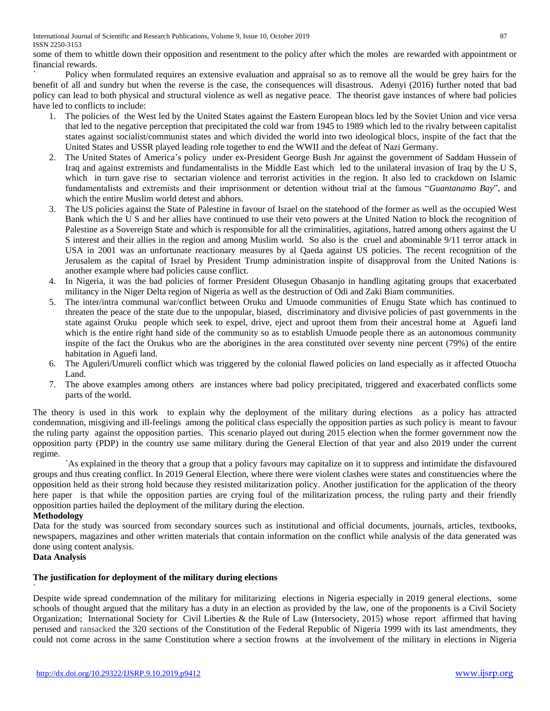International Journal of Scientific and Research Publications, Volume 9, Issue 10, October 2019 87 ISSN 2250-3153

some of them to whittle down their opposition and resentment to the policy after which the moles are rewarded with appointment or financial rewards.

Policy when formulated requires an extensive evaluation and appraisal so as to remove all the would be grey hairs for the benefit of all and sundry but when the reverse is the case, the consequences will disastrous. Adenyi (2016) further noted that bad policy can lead to both physical and structural violence as well as negative peace. The theorist gave instances of where bad policies have led to conflicts to include:

- 1. The policies of the West led by the United States against the Eastern European blocs led by the Soviet Union and vice versa that led to the negative perception that precipitated the cold war from 1945 to 1989 which led to the rivalry between capitalist states against socialist/communist states and which divided the world into two ideological blocs, inspite of the fact that the United States and USSR played leading role together to end the WWII and the defeat of Nazi Germany.
- 2. The United States of America's policy under ex-President George Bush Jnr against the government of Saddam Hussein of Iraq and against extremists and fundamentalists in the Middle East which led to the unilateral invasion of Iraq by the U S, which in turn gave rise to sectarian violence and terrorist activities in the region. It also led to crackdown on Islamic fundamentalists and extremists and their imprisonment or detention without trial at the famous "*Guantanamo Bay*", and which the entire Muslim world detest and abhors.
- 3. The US policies against the State of Palestine in favour of Israel on the statehood of the former as well as the occupied West Bank which the U S and her allies have continued to use their veto powers at the United Nation to block the recognition of Palestine as a Sovereign State and which is responsible for all the criminalities, agitations, hatred among others against the U S interest and their allies in the region and among Muslim world. So also is the cruel and abominable 9/11 terror attack in USA in 2001 was an unfortunate reactionary measures by al Qaeda against US policies. The recent recognition of the Jerusalem as the capital of Israel by President Trump administration inspite of disapproval from the United Nations is another example where bad policies cause conflict.
- 4. In Nigeria, it was the bad policies of former President Olusegun Obasanjo in handling agitating groups that exacerbated militancy in the Niger Delta region of Nigeria as well as the destruction of Odi and Zaki Biam communities.
- 5. The inter/intra communal war/conflict between Oruku and Umuode communities of Enugu State which has continued to threaten the peace of the state due to the unpopular, biased, discriminatory and divisive policies of past governments in the state against Oruku people which seek to expel, drive, eject and uproot them from their ancestral home at Aguefi land which is the entire right hand side of the community so as to establish Umuode people there as an autonomous community inspite of the fact the Orukus who are the aborigines in the area constituted over seventy nine percent (79%) of the entire habitation in Aguefi land.
- 6. The Aguleri/Umureli conflict which was triggered by the colonial flawed policies on land especially as it affected Otuocha Land.
- 7. The above examples among others are instances where bad policy precipitated, triggered and exacerbated conflicts some parts of the world.

The theory is used in this work to explain why the deployment of the military during elections as a policy has attracted condemnation, misgiving and ill-feelings among the political class especially the opposition parties as such policy is meant to favour the ruling party against the opposition parties. This scenario played out during 2015 election when the former government now the opposition party (PDP) in the country use same military during the General Election of that year and also 2019 under the current regime.

`As explained in the theory that a group that a policy favours may capitalize on it to suppress and intimidate the disfavoured groups and thus creating conflict. In 2019 General Election, where there were violent clashes were states and constituencies where the opposition held as their strong hold because they resisted militarization policy. Another justification for the application of the theory here paper is that while the opposition parties are crying foul of the militarization process, the ruling party and their friendly opposition parties hailed the deployment of the military during the election.

## **Methodology**

Data for the study was sourced from secondary sources such as institutional and official documents, journals, articles, textbooks, newspapers, magazines and other written materials that contain information on the conflict while analysis of the data generated was done using content analysis.

# **Data Analysis**

`

## **The justification for deployment of the military during elections**

Despite wide spread condemnation of the military for militarizing elections in Nigeria especially in 2019 general elections, some schools of thought argued that the military has a duty in an election as provided by the law, one of the proponents is a Civil Society Organization; International Society for Civil Liberties & the Rule of Law (Intersociety, 2015) whose report affirmed that having perused and ransacked the 320 sections of the Constitution of the Federal Republic of Nigeria 1999 with its last amendments, they could not come across in the same Constitution where a section frowns at the involvement of the military in elections in Nigeria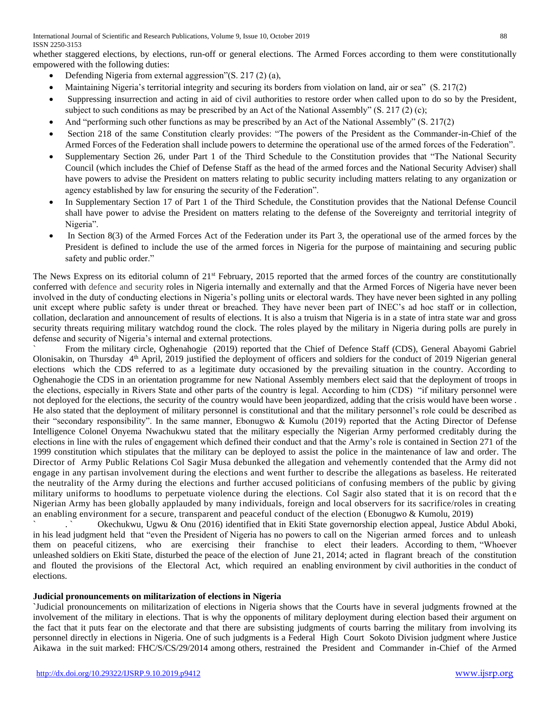International Journal of Scientific and Research Publications, Volume 9, Issue 10, October 2019 88 ISSN 2250-3153

whether staggered elections, by elections, run-off or general elections. The Armed Forces according to them were constitutionally empowered with the following duties:

- Defending Nigeria from external aggression"(S. 217 (2) (a),
- Maintaining Nigeria's territorial integrity and securing its borders from violation on land, air or sea" (S. 217(2)
- Suppressing insurrection and acting in aid of civil authorities to restore order when called upon to do so by the President, subject to such conditions as may be prescribed by an Act of the National Assembly" (S. 217 (2) (c);
- And "performing such other functions as may be prescribed by an Act of the National Assembly" (S. 217(2)
- Section 218 of the same Constitution clearly provides: "The powers of the President as the Commander-in-Chief of the Armed Forces of the Federation shall include powers to determine the operational use of the armed forces of the Federation".
- Supplementary Section 26, under Part 1 of the Third Schedule to the Constitution provides that "The National Security Council (which includes the Chief of Defense Staff as the head of the armed forces and the National Security Adviser) shall have powers to advise the President on matters relating to public security including matters relating to any organization or agency established by law for ensuring the security of the Federation".
- In Supplementary Section 17 of Part 1 of the Third Schedule, the Constitution provides that the National Defense Council shall have power to advise the President on matters relating to the defense of the Sovereignty and territorial integrity of Nigeria".
- In Section 8(3) of the Armed Forces Act of the Federation under its Part 3, the operational use of the armed forces by the President is defined to include the use of the armed forces in Nigeria for the purpose of maintaining and securing public safety and public order."

The News Express on its editorial column of  $21<sup>st</sup>$  February, 2015 reported that the armed forces of the country are constitutionally conferred with defence and security roles in Nigeria internally and externally and that the Armed Forces of Nigeria have never been involved in the duty of conducting elections in Nigeria's polling units or electoral wards. They have never been sighted in any polling unit except where public safety is under threat or breached. They have never been part of INEC's ad hoc staff or in collection, collation, declaration and announcement of results of elections. It is also a truism that Nigeria is in a state of intra state war and gross security threats requiring military watchdog round the clock. The roles played by the military in Nigeria during polls are purely in defense and security of Nigeria's internal and external protections.

` From the military circle, Oghenahogie (2019) reported that the Chief of Defence Staff (CDS), General Abayomi Gabriel Olonisakin, on Thursday 4<sup>th</sup> April, 2019 justified the deployment of officers and soldiers for the conduct of 2019 Nigerian general elections which the CDS referred to as a legitimate duty occasioned by the prevailing situation in the country. According to Oghenahogie the CDS in an orientation programme for new National Assembly members elect said that the deployment of troops in the elections, especially in Rivers State and other parts of the country is legal. According to him (CDS) "if military personnel were not deployed for the elections, the security of the country would have been jeopardized, adding that the crisis would have been worse . He also stated that the deployment of military personnel is constitutional and that the military personnel's role could be described as their "secondary responsibility". In the same manner, Ebonugwo & Kumolu (2019) reported that the Acting Director of Defense Intelligence Colonel Onyema Nwachukwu stated that the military especially the Nigerian Army performed creditably during the elections in line with the rules of engagement which defined their conduct and that the Army's role is contained in Section 271 of the 1999 constitution which stipulates that the military can be deployed to assist the police in the maintenance of law and order. The Director of Army Public Relations Col Sagir Musa debunked the allegation and vehemently contended that the Army did not engage in any partisan involvement during the elections and went further to describe the allegations as baseless. He reiterated the neutrality of the Army during the elections and further accused politicians of confusing members of the public by giving military uniforms to hoodlums to perpetuate violence during the elections. Col Sagir also stated that it is on record that th e Nigerian Army has been globally applauded by many individuals, foreign and local observers for its sacrifice/roles in creating an enabling environment for a secure, transparent and peaceful conduct of the election (Ebonugwo & Kumolu, 2019)

` . ` Okechukwu, Ugwu & Onu (2016) identified that in Ekiti State governorship election appeal, Justice Abdul Aboki, in his lead judgment held that "even the President of Nigeria has no powers to call on the Nigerian armed forces and to unleash them on peaceful citizens, who are exercising their franchise to elect their leaders. According to them, "Whoever unleashed soldiers on Ekiti State, disturbed the peace of the election of June 21, 2014; acted in flagrant breach of the constitution and flouted the provisions of the Electoral Act, which required an enabling environment by civil authorities in the conduct of elections.

## **Judicial pronouncements on militarization of elections in Nigeria**

**`**Judicial pronouncements on militarization of elections in Nigeria shows that the Courts have in several judgments frowned at the involvement of the military in elections. That is why the opponents of military deployment during election based their argument on the fact that it puts fear on the electorate and that there are subsisting judgments of courts barring the military from involving its personnel directly in elections in Nigeria. One of such judgments is a Federal High Court Sokoto Division judgment where Justice Aikawa in the suit marked: FHC/S/CS/29/2014 among others, restrained the President and Commander in-Chief of the Armed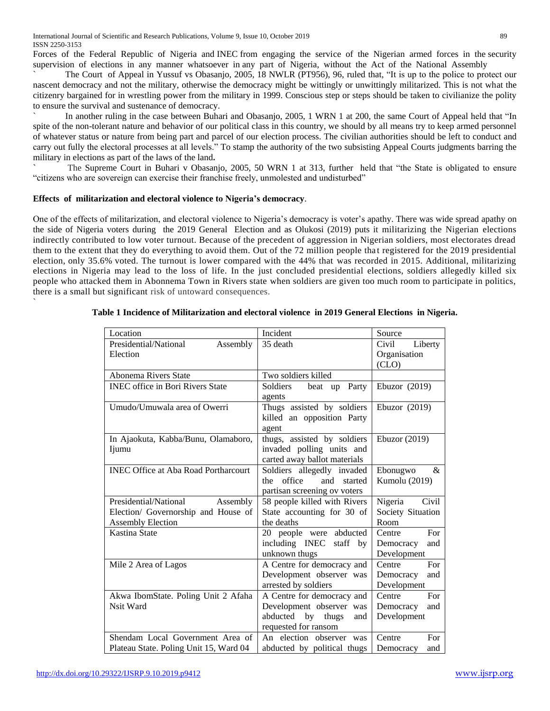Forces of the Federal Republic of Nigeria and INEC from engaging the service of the Nigerian armed forces in the security supervision of elections in any manner whatsoever in any part of Nigeria, without the Act of the National Assembly

` The Court of Appeal in Yussuf vs Obasanjo, 2005, 18 NWLR (PT956), 96, ruled that, "It is up to the police to protect our nascent democracy and not the military, otherwise the democracy might be wittingly or unwittingly militarized. This is not what the citizenry bargained for in wrestling power from the military in 1999. Conscious step or steps should be taken to civilianize the polity to ensure the survival and sustenance of democracy.

In another ruling in the case between Buhari and Obasanjo, 2005, 1 WRN 1 at 200, the same Court of Appeal held that "In spite of the non-tolerant nature and behavior of our political class in this country, we should by all means try to keep armed personnel of whatever status or nature from being part and parcel of our election process. The civilian authorities should be left to conduct and carry out fully the electoral processes at all levels." To stamp the authority of the two subsisting Appeal Courts judgments barring the military in elections as part of the laws of the land**.**

**`** The Supreme Court in Buhari v Obasanjo, 2005, 50 WRN 1 at 313, further held that "the State is obligated to ensure "citizens who are sovereign can exercise their franchise freely, unmolested and undisturbed"

#### **Effects of militarization and electoral violence to Nigeria's democracy**.

`

One of the effects of militarization, and electoral violence to Nigeria's democracy is voter's apathy. There was wide spread apathy on the side of Nigeria voters during the 2019 General Election and as Olukosi (2019) puts it militarizing the Nigerian elections indirectly contributed to low voter turnout. Because of the precedent of aggression in Nigerian soldiers, most electorates dread them to the extent that they do everything to avoid them. Out of the 72 million people that registered for the 2019 presidential election, only [35.6%](https://www.theguardian.com/world/2019/feb/26/muhammadu-buhari-to-claim-victory-in-nigerias-presidential-election) voted. The turnout is lower compared with the 44% that was recorded in 2015. Additional, militarizing elections in Nigeria may lead to the loss of life. In the just concluded presidential elections, soldiers [allegedly](https://www.pulse.ng/news/politics/army-explains-why-soldiers-killed-6-people-in-rivers-state/9ed9j6w) killed six [people](https://www.pulse.ng/news/politics/army-explains-why-soldiers-killed-6-people-in-rivers-state/9ed9j6w) who attacked them in Abonnema Town in Rivers state when soldiers are given too much room to participate in politics, there is a small but significant risk of untoward consequences.

| Location                                    | Incident                     | Source            |
|---------------------------------------------|------------------------------|-------------------|
| Presidential/National<br>Assembly           | 35 death                     | Civil<br>Liberty  |
| Election                                    |                              | Organisation      |
|                                             |                              | (CLO)             |
| Abonema Rivers State                        | Two soldiers killed          |                   |
| <b>INEC</b> office in Bori Rivers State     | Soldiers<br>beat up Party    | Ebuzor $(2019)$   |
|                                             | agents                       |                   |
| Umudo/Umuwala area of Owerri                | Thugs assisted by soldiers   | Ebuzor $(2019)$   |
|                                             | killed an opposition Party   |                   |
|                                             | agent                        |                   |
| In Ajaokuta, Kabba/Bunu, Olamaboro,         | thugs, assisted by soldiers  | Ebuzor $(2019)$   |
| Ijumu                                       | invaded polling units and    |                   |
|                                             | carted away ballot materials |                   |
| <b>INEC Office at Aba Road Portharcourt</b> | Soldiers allegedly invaded   | Ebonugwo<br>&     |
|                                             | office<br>the<br>and started | Kumolu (2019)     |
|                                             | partisan screening ov voters |                   |
| Presidential/National<br>Assembly           | 58 people killed with Rivers | Civil<br>Nigeria  |
| Election/ Governorship and House of         | State accounting for 30 of   | Society Situation |
| <b>Assembly Election</b>                    | the deaths                   | Room              |
| Kastina State                               | 20 people were abducted      | For<br>Centre     |
|                                             | including INEC<br>staff by   | Democracy<br>and  |
|                                             | unknown thugs                | Development       |
| Mile 2 Area of Lagos                        | A Centre for democracy and   | For<br>Centre     |
|                                             | Development observer was     | Democracy<br>and  |
|                                             | arrested by soldiers         | Development       |
| Akwa IbomState. Poling Unit 2 Afaha         | A Centre for democracy and   | Centre<br>For     |
| Nsit Ward                                   | Development observer was     | Democracy<br>and  |
|                                             | by thugs<br>abducted<br>and  | Development       |
|                                             | requested for ransom         |                   |
| Shendam Local Government Area of            | An election observer was     | Centre<br>For     |
| Plateau State. Poling Unit 15, Ward 04      | abducted by political thugs  | Democracy<br>and  |

#### **Table 1 Incidence of Militarization and electoral violence in 2019 General Elections in Nigeria.**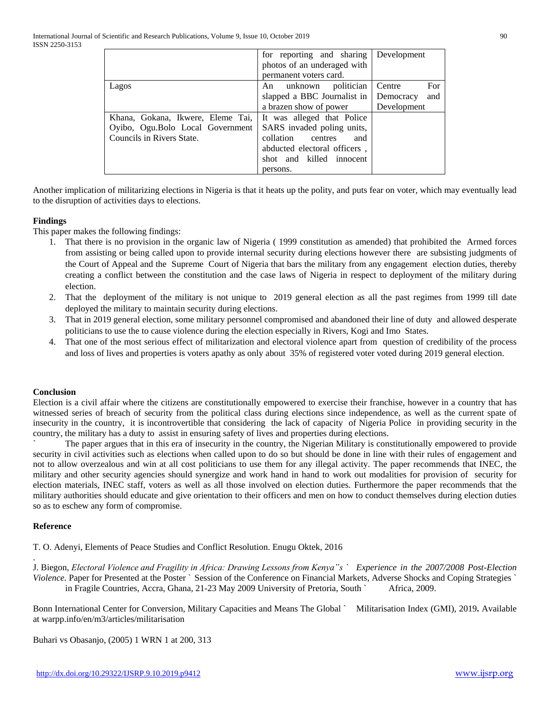|                                                                       | for reporting and sharing                                | Development   |
|-----------------------------------------------------------------------|----------------------------------------------------------|---------------|
|                                                                       | photos of an underaged with                              |               |
|                                                                       | permanent voters card.                                   |               |
| Lagos                                                                 | An unknown politician                                    | For<br>Centre |
|                                                                       | slapped a BBC Journalist in                              | Democracy and |
|                                                                       | a brazen show of power                                   | Development   |
| Khana, Gokana, Ikwere, Eleme Tai,<br>Oyibo, Ogu.Bolo Local Government | It was alleged that Police<br>SARS invaded poling units, |               |
| Councils in Rivers State.                                             | collation centres<br>and                                 |               |
|                                                                       | abducted electoral officers,                             |               |
|                                                                       | shot and killed innocent                                 |               |
|                                                                       | persons.                                                 |               |

Another implication of militarizing elections in Nigeria is that it heats up the polity, and puts fear on voter, which may eventually lead to the disruption of activities days to elections.

## **Findings**

This paper makes the following findings:

- 1. That there is no provision in the organic law of Nigeria ( 1999 constitution as amended) that prohibited the Armed forces from assisting or being called upon to provide internal security during elections however there are subsisting judgments of the Court of Appeal and the Supreme Court of Nigeria that bars the military from any engagement election duties, thereby creating a conflict between the constitution and the case laws of Nigeria in respect to deployment of the military during election.
- 2. That the deployment of the military is not unique to 2019 general election as all the past regimes from 1999 till date deployed the military to maintain security during elections.
- 3. That in 2019 general election, some military personnel compromised and abandoned their line of duty and allowed desperate politicians to use the to cause violence during the election especially in Rivers, Kogi and Imo States.
- 4. That one of the most serious effect of militarization and electoral violence apart from question of credibility of the process and loss of lives and properties is voters apathy as only about 35% of registered voter voted during 2019 general election.

#### **Conclusion**

Election is a civil affair where the citizens are constitutionally empowered to exercise their franchise, however in a country that has witnessed series of breach of security from the political class during elections since independence, as well as the current spate of insecurity in the country, it is incontrovertible that considering the lack of capacity of Nigeria Police in providing security in the country, the military has a duty to assist in ensuring safety of lives and properties during elections.

` The paper argues that in this era of insecurity in the country, the Nigerian Military is constitutionally empowered to provide security in civil activities such as elections when called upon to do so but should be done in line with their rules of engagement and not to allow overzealous and win at all cost politicians to use them for any illegal activity. The paper recommends that INEC, the military and other security agencies should synergize and work hand in hand to work out modalities for provision of security for election materials, INEC staff, voters as well as all those involved on election duties. Furthermore the paper recommends that the military authorities should educate and give orientation to their officers and men on how to conduct themselves during election duties so as to eschew any form of compromise.

## **Reference**

.

T. O. Adenyi, Elements of Peace Studies and Conflict Resolution. Enugu Oktek, 2016

J. Biegon, *Electoral Violence and Fragility in Africa: Drawing Lessons from Kenya"s ` Experience in the 2007/2008 Post-Election Violence.* Paper for Presented at the Poster ` Session of the Conference on Financial Markets, Adverse Shocks and Coping Strategies ` in Fragile Countries, Accra, Ghana, 21-23 May 2009 University of Pretoria, South ` Africa, 2009.

Bonn International Center for Conversion, Military Capacities and Means The Global ` Militarisation Index (GMI), 2019**.** Available at [warpp.info/en/m3/articles/militarisation](http://warpp.info/en/m3/articles/militarisation)

Buhari vs Obasanjo, (2005) 1 WRN 1 at 200, 313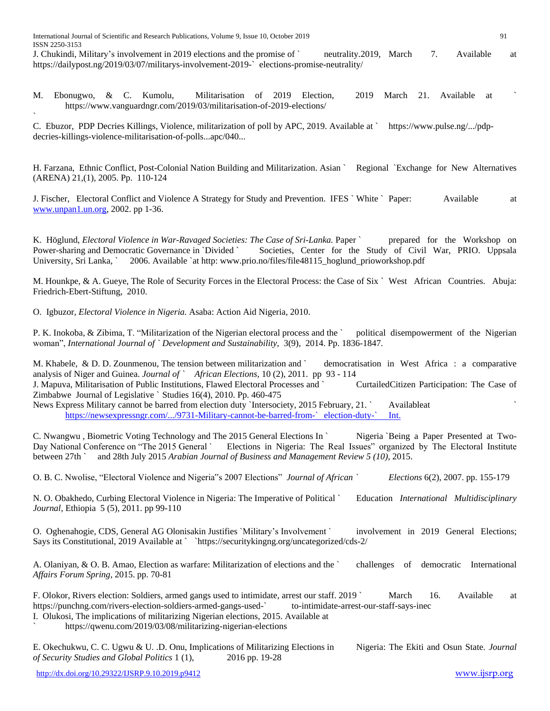`

J. Chukindi, Military's involvement in 2019 elections and the promise of ` neutrality.2019, March 7. Available at [https://dailypost.ng/2019/03/07/militarys-involvement-2019-`](https://dailypost.ng/2019/03/07/militarys-involvement-2019-%60) elections-promise-neutrality/

M. Ebonugwo, & C. Kumolu, Militarisation of 2019 Election, 2019 March 21. Available at https://www.vanguardngr.com/2019/03/militarisation-of-2019-elections/

C. Ebuzor, PDP Decries Killings, Violence, militarization of poll by APC, 2019. Available at ` [https://www.pulse.ng/.../pdp](https://www.pulse.ng/.../pdp-decries-killings-violence-militarisation-of-polls...apc/040...)[decries-killings-violence-militarisation-of-polls...apc/040...](https://www.pulse.ng/.../pdp-decries-killings-violence-militarisation-of-polls...apc/040...)

H. Farzana, Ethnic Conflict, Post-Colonial Nation Building and Militarization. Asian ` Regional `Exchange for New Alternatives (ARENA) 21,(1), 2005. Pp. 110-124

J. Fischer, Electoral Conflict and Violence A Strategy for Study and Prevention. IFES ` White ` Paper: Available at [www.unpan1.un.org,](http://www.unpan1.un.org/) 2002. pp 1-36.

K. Höglund, *Electoral Violence in War-Ravaged Societies: The Case of Sri-Lanka*. Paper ` prepared for the Workshop on Power-sharing and Democratic Governance in `Divided ` Societies, Center for the Study of Civil War, PRIO. Uppsala University, Sri Lanka, ` 2006. Available `at http: www.prio.no/files/file48115 hoglund prioworkshop.pdf

M. Hounkpe, & A. Gueye, The Role of Security Forces in the Electoral Process: the Case of Six ` West African Countries. Abuja: Friedrich-Ebert-Stiftung, 2010.

O. Igbuzor, *Electoral Violence in Nigeria.* Asaba: Action Aid Nigeria, 2010.

P. K. Inokoba, & Zibima, T. "Militarization of the Nigerian electoral process and the ` political disempowerment of the Nigerian woman", *International Journal of ` Development and Sustainability,* 3(9), 2014. Pp. 1836-1847.

M. Khabele, & D. D. Zounmenou, The tension between militarization and ` democratisation in West Africa : a comparative analysis of Niger and Guinea. *Journal of ` [African Elections,](https://journals.co.za/content/journal/eisa_jae)* [10 \(2\)](https://journals.co.za/content/eisa_jae/10/2), 2011. pp 93 - 114 J[. Mapuva,](mailto:Mapuva,%20J%20(2010)) Militarisation of Public Institutions, Flawed Electoral Processes and ` CurtailedCitizen Participation: The Case of Zimbabwe Journal of Legislative ` Studies 16(4), 2010. Pp. 460-475 News Express Military cannot be barred from election duty `Intersociety, 2015 February, 21. ` Availableat

[https://newsexpressngr.com/.../9731-Military-cannot-be-barred-from-`](https://newsexpressngr.com/.../9731-Military-cannot-be-barred-from-%60election-duty-%60Int.) election-duty-` Int.

C. Nwangwu , Biometric Voting Technology and The 2015 General Elections In ` Nigeria `Being a Paper Presented at Two-Day National Conference on "The 2015 General ` Elections in Nigeria: The Real Issues" organized by The Electoral Institute between 27th ` and 28th July 2015 *Arabian Journal of Business and Management Review 5 (10)*, 2015.

O. B. C. Nwolise, "Electoral Violence and Nigeria"s 2007 Elections" *Journal of African ` Elections* 6(2), 2007. pp. 155-179

N. O. Obakhedo, Curbing Electoral Violence in Nigeria: The Imperative of Political ` Education *International Multidisciplinary Journal,* Ethiopia 5 (5), 2011. pp 99-110

O. Oghenahogie, CDS, General AG Olonisakin Justifies `Military's Involvement ` involvement in 2019 General Elections; Says its Constitutional, 2019 Available at ` [`https://securitykingng.org/uncategorized/cds-2/](https://securitykingng.org/uncategorized/cds-2/)

A. Olaniyan, & O. B. Amao, Election as warfare: Militarization of elections and the ` challenges of democratic International *Affairs Forum Spring,* 2015. pp. 70-81

F. Olokor, Rivers election: Soldiers, armed gangs used to intimidate, arrest our staff. 2019 ` March 16. Available at [https://punchng.com/rivers-election-soldiers-armed-gangs-used-`](https://punchng.com/rivers-election-soldiers-armed-gangs-used-%60) to-intimidate-arrest-our-staff-says-inec

I. Olukosi, The implications of militarizing Nigerian elections, 2015. Available at

` [https://qwenu.com/2019/03/08/militarizing-nigerian-elections](%60https:/qwenu.com/2019/03/08/militarizing-nigerian-elections)

E. Okechukwu, C. C. Ugwu & U. .D. Onu, Implications of Militarizing Elections in Nigeria: The Ekiti and Osun State. *Journal of Security Studies and Global Politics* 1 (1), 2016 pp. 19-28